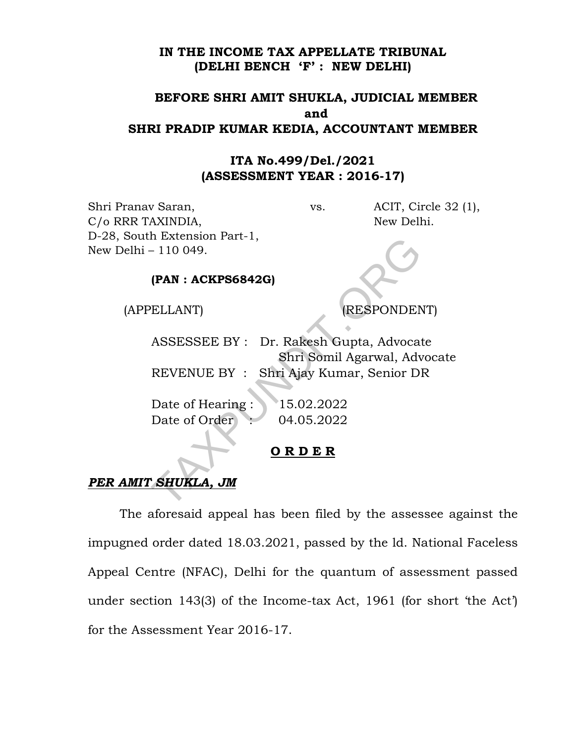#### IN THE INCOME TAX APPELLATE TRIBUNAL (DELHI BENCH 'F' : NEW DELHI)

## BEFORE SHRI AMIT SHUKLA, JUDICIAL MEMBER and SHRI PRADIP KUMAR KEDIA, ACCOUNTANT MEMBER

## ITA No.499/Del./2021 (ASSESSMENT YEAR : 2016-17)

Shri Pranav Saran, vs. ACIT, Circle 32 (1), C/o RRR TAXINDIA, New Delhi. D-28, South Extension Part-1, New Delhi – 110 049.

### (PAN : ACKPS6842G)

(APPELLANT) (RESPONDENT)

ASSESSEE BY : Dr. Rakesh Gupta, Advocate Shri Somil Agarwal, Advocate REVENUE BY : Shri Ajay Kumar, Senior DR The Extension Part-1,<br>
(PAN : ACKPS6842G)<br>
(PAN : ACKPS6842G)<br>
FELLANT) (RESPONDEN<br>
ASSESSEE BY : Dr. Rakesh Gupta, Advocat<br>
Shri Somil Agarwal, Adv<br>
REVENUE BY : Shri Ajay Kumar, Senior Dl<br>
Date of Hearing : 15.02.2022<br>
D

Date of Hearing : 15.02.2022 Date of Order : 04.05.2022

## O R D E R

# PER AMIT SHUKLA, JM

 The aforesaid appeal has been filed by the assessee against the impugned order dated 18.03.2021, passed by the ld. National Faceless Appeal Centre (NFAC), Delhi for the quantum of assessment passed under section 143(3) of the Income-tax Act, 1961 (for short 'the Act') for the Assessment Year 2016-17.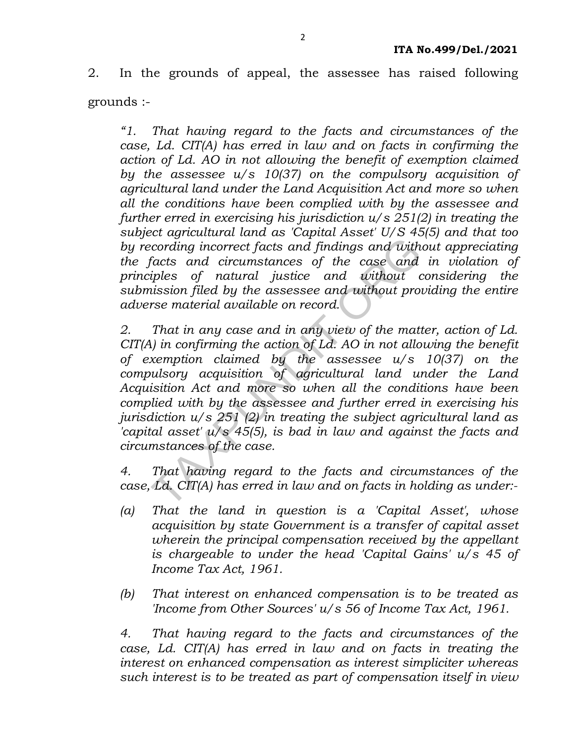2. In the grounds of appeal, the assessee has raised following grounds :-

"1. That having regard to the facts and circumstances of the case, Ld. CIT(A) has erred in law and on facts in confirming the action of Ld. AO in not allowing the benefit of exemption claimed by the assessee  $u/s$  10(37) on the compulsory acquisition of agricultural land under the Land Acquisition Act and more so when all the conditions have been complied with by the assessee and further erred in exercising his jurisdiction  $u/s$  251(2) in treating the subject agricultural land as 'Capital Asset' U/S 45(5) and that too by recording incorrect facts and findings and without appreciating the facts and circumstances of the case and in violation of principles of natural justice and without considering the submission filed by the assessee and without providing the entire adverse material available on record.

2. That in any case and in any view of the matter, action of Ld. CIT(A) in confirming the action of Ld. AO in not allowing the benefit of exemption claimed by the assessee u/s 10(37) on the compulsory acquisition of agricultural land under the Land Acquisition Act and more so when all the conditions have been complied with by the assessee and further erred in exercising his jurisdiction  $u/s$  251 (2) in treating the subject agricultural land as 'capital asset'  $u/s$  45(5), is bad in law and against the facts and circumstances of the case. becoming incorrect facts and findings and with<br>facts and circumstances of the case and<br>facts and circumstances of the case and<br>injets of natural justice and without root<br>insison filed by the assessee and without protices<br>

4. That having regard to the facts and circumstances of the case, Ld. CIT(A) has erred in law and on facts in holding as under:-

- (a) That the land in question is a 'Capital Asset', whose acquisition by state Government is a transfer of capital asset wherein the principal compensation received by the appellant is chargeable to under the head 'Capital Gains' u/s 45 of Income Tax Act, 1961.
- (b) That interest on enhanced compensation is to be treated as 'Income from Other Sources' u/s 56 of Income Tax Act, 1961.

4. That having regard to the facts and circumstances of the case, Ld. CIT(A) has erred in law and on facts in treating the interest on enhanced compensation as interest simpliciter whereas such interest is to be treated as part of compensation itself in view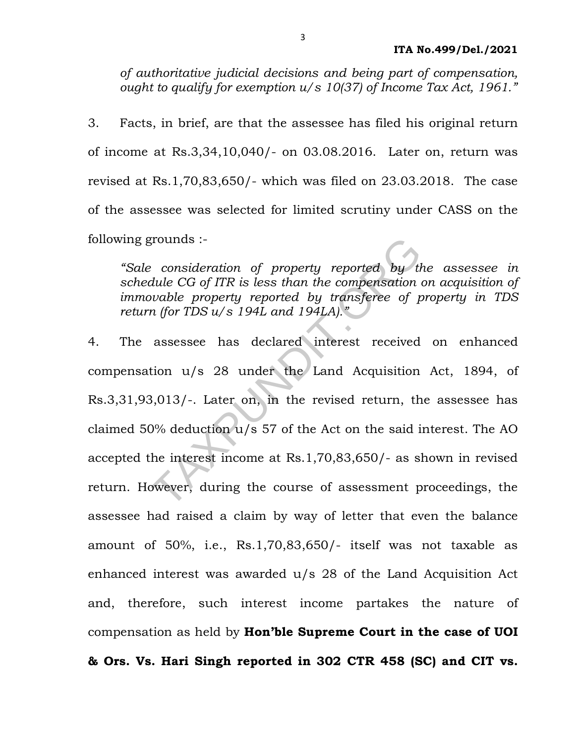of authoritative judicial decisions and being part of compensation, ought to qualify for exemption  $u/s$  10(37) of Income Tax Act, 1961."

3. Facts, in brief, are that the assessee has filed his original return of income at Rs.3,34,10,040/- on 03.08.2016. Later on, return was revised at Rs.1,70,83,650/- which was filed on 23.03.2018. The case of the assessee was selected for limited scrutiny under CASS on the following grounds :-

"Sale consideration of property reported by the assessee in schedule CG of ITR is less than the compensation on acquisition of immovable property reported by transferee of property in TDS return (for TDS u/s 194L and 194LA)."

4. The assessee has declared interest received on enhanced compensation u/s 28 under the Land Acquisition Act, 1894, of Rs.3,31,93,013/-. Later on, in the revised return, the assessee has claimed 50% deduction u/s 57 of the Act on the said interest. The AO accepted the interest income at Rs.1,70,83,650/- as shown in revised return. However, during the course of assessment proceedings, the assessee had raised a claim by way of letter that even the balance amount of 50%, i.e., Rs.1,70,83,650/- itself was not taxable as enhanced interest was awarded u/s 28 of the Land Acquisition Act and, therefore, such interest income partakes the nature of compensation as held by Hon'ble Supreme Court in the case of UOI & Ors. Vs. Hari Singh reported in 302 CTR 458 (SC) and CIT vs. grounds :-<br>
exponsideration of property reported by the CG of ITR is less than the compensation width property reported by transferee of p<br>
in (for TDS  $u/s$  194L and 194LA)."<br>
assessee has declared interest received<br>
tion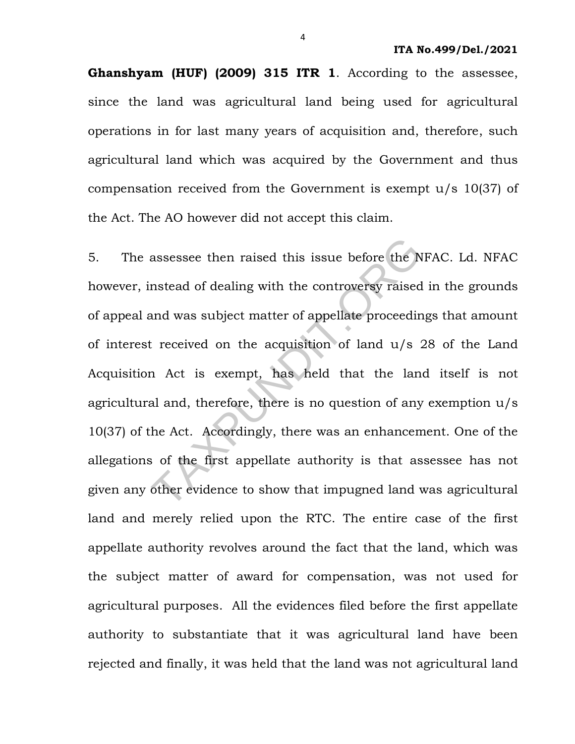Ghanshyam (HUF) (2009) 315 ITR 1. According to the assessee, since the land was agricultural land being used for agricultural operations in for last many years of acquisition and, therefore, such agricultural land which was acquired by the Government and thus compensation received from the Government is exempt u/s 10(37) of the Act. The AO however did not accept this claim.

5. The assessee then raised this issue before the NFAC. Ld. NFAC however, instead of dealing with the controversy raised in the grounds of appeal and was subject matter of appellate proceedings that amount of interest received on the acquisition of land u/s 28 of the Land Acquisition Act is exempt, has held that the land itself is not agricultural and, therefore, there is no question of any exemption u/s 10(37) of the Act. Accordingly, there was an enhancement. One of the allegations of the first appellate authority is that assessee has not given any other evidence to show that impugned land was agricultural land and merely relied upon the RTC. The entire case of the first appellate authority revolves around the fact that the land, which was the subject matter of award for compensation, was not used for agricultural purposes. All the evidences filed before the first appellate authority to substantiate that it was agricultural land have been rejected and finally, it was held that the land was not agricultural land assessee then raised this issue before the N<br>nstead of dealing with the controversy raised<br>and was subject matter of appellate proceedir<br>it received on the acquisition of land  $u/s$ :<br>in Act is exempt, has held that the lan<br>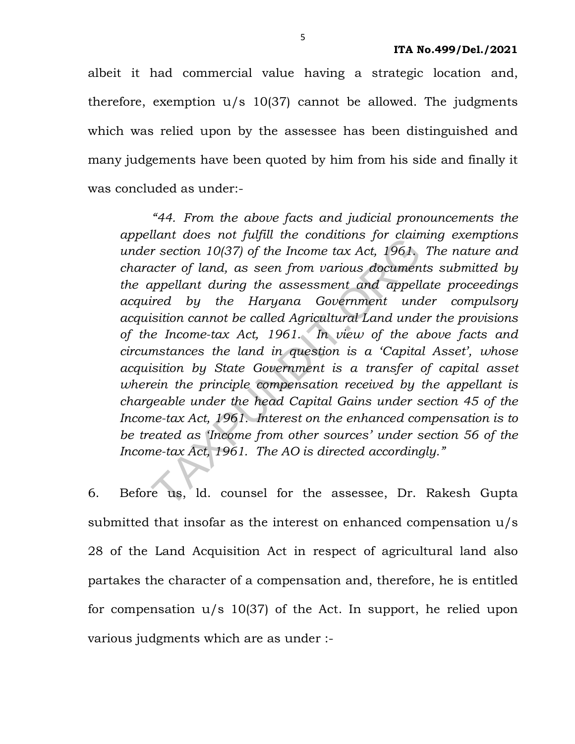albeit it had commercial value having a strategic location and, therefore, exemption  $u/s$  10(37) cannot be allowed. The judgments which was relied upon by the assessee has been distinguished and many judgements have been quoted by him from his side and finally it was concluded as under:-

 "44. From the above facts and judicial pronouncements the appellant does not fulfill the conditions for claiming exemptions under section 10(37) of the Income tax Act, 1961. The nature and character of land, as seen from various documents submitted by the appellant during the assessment and appellate proceedings acquired by the Haryana Government under compulsory acquisition cannot be called Agricultural Land under the provisions of the Income-tax Act, 1961. In view of the above facts and circumstances the land in question is a 'Capital Asset', whose acquisition by State Government is a transfer of capital asset wherein the principle compensation received by the appellant is chargeable under the head Capital Gains under section 45 of the Income-tax Act, 1961. Interest on the enhanced compensation is to be treated as 'Income from other sources' under section 56 of the Income-tax Act, 1961. The AO is directed accordingly." mant does not jugal the conditions for claim<br>
r section 10(37) of the Income tax Act, 1961,<br>
acter of land, as seen from various documen<br>
appellant during the assessment and appell<br>
ired by the Haryana Government und<br>
isi

6. Before us, ld. counsel for the assessee, Dr. Rakesh Gupta submitted that insofar as the interest on enhanced compensation u/s 28 of the Land Acquisition Act in respect of agricultural land also partakes the character of a compensation and, therefore, he is entitled for compensation u/s 10(37) of the Act. In support, he relied upon various judgments which are as under :-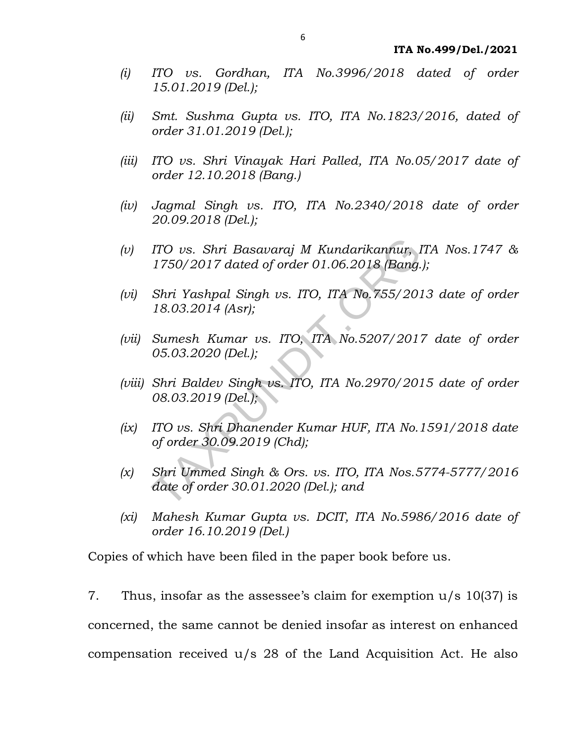- (i) ITO vs. Gordhan, ITA No.3996/2018 dated of order 15.01.2019 (Del.);
- (ii) Smt. Sushma Gupta vs. ITO, ITA No.1823/2016, dated of order 31.01.2019 (Del.);
- (iii) ITO vs. Shri Vinayak Hari Palled, ITA No.05/2017 date of order 12.10.2018 (Bang.)
- (iv) Jagmal Singh vs. ITO, ITA No.2340/2018 date of order 20.09.2018 (Del.);
- (v) ITO vs. Shri Basavaraj M Kundarikannur, ITA Nos.1747 & 1750/2017 dated of order 01.06.2018 (Bang.);
- (vi) Shri Yashpal Singh vs. ITO, ITA No.755/2013 date of order 18.03.2014 (Asr);
- (vii) Sumesh Kumar vs. ITO, ITA No.5207/2017 date of order 05.03.2020 (Del.);
- (viii) Shri Baldev Singh vs. ITO, ITA No.2970/2015 date of order 08.03.2019 (Del.); ITO vs. Shri Basavaraj M Kundarikannur, 1<br>1750/2017 dated of order 01.06.2018 (Bang.<br>Shri Yashpal Singh vs. ITO, ITA No.755/201<br>18.03.2014 (Asr);<br>Sumesh Kumar vs. ITO, ITA No.5207/201<br>105.03.2020 (Del.);<br>Shri Baldev Singh
- (ix) ITO vs. Shri Dhanender Kumar HUF, ITA No.1591/2018 date of order 30.09.2019 (Chd);
- $(x)$  Shri Ummed Singh & Ors. vs. ITO, ITA Nos.5774-5777/2016 date of order 30.01.2020 (Del.); and
- (xi) Mahesh Kumar Gupta vs. DCIT, ITA No.5986/2016 date of order 16.10.2019 (Del.)

Copies of which have been filed in the paper book before us.

7. Thus, insofar as the assessee's claim for exemption u/s 10(37) is concerned, the same cannot be denied insofar as interest on enhanced compensation received u/s 28 of the Land Acquisition Act. He also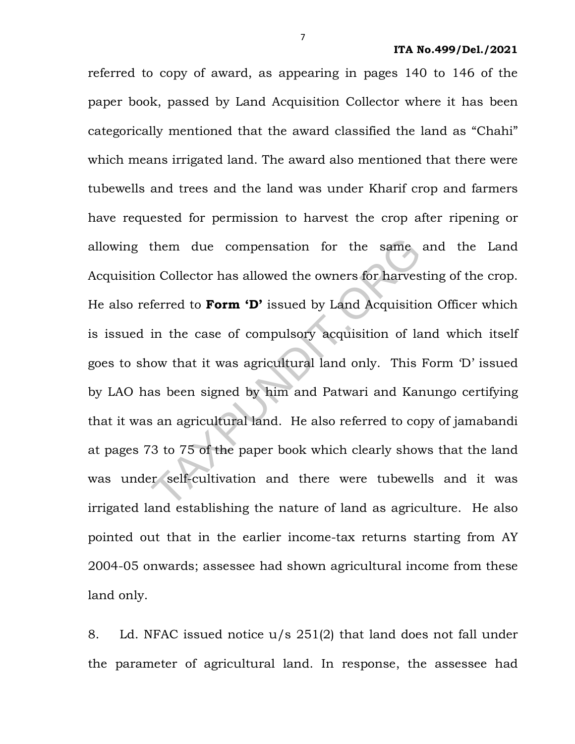referred to copy of award, as appearing in pages 140 to 146 of the paper book, passed by Land Acquisition Collector where it has been categorically mentioned that the award classified the land as "Chahi" which means irrigated land. The award also mentioned that there were tubewells and trees and the land was under Kharif crop and farmers have requested for permission to harvest the crop after ripening or allowing them due compensation for the same and the Land Acquisition Collector has allowed the owners for harvesting of the crop. He also referred to Form 'D' issued by Land Acquisition Officer which is issued in the case of compulsory acquisition of land which itself goes to show that it was agricultural land only. This Form 'D' issued by LAO has been signed by him and Patwari and Kanungo certifying that it was an agricultural land. He also referred to copy of jamabandi at pages 73 to 75 of the paper book which clearly shows that the land was under self-cultivation and there were tubewells and it was irrigated land establishing the nature of land as agriculture. He also pointed out that in the earlier income-tax returns starting from AY 2004-05 onwards; assessee had shown agricultural income from these land only. them due compensation for the same<br>in Collector has allowed the owners for harves<br>ferred to **Form 'D'** issued by Land Acquisitic<br>in the case of compulsory acquisition of la<br>ow that it was agricultural land only. This<br>as be

8. Ld. NFAC issued notice u/s 251(2) that land does not fall under the parameter of agricultural land. In response, the assessee had

7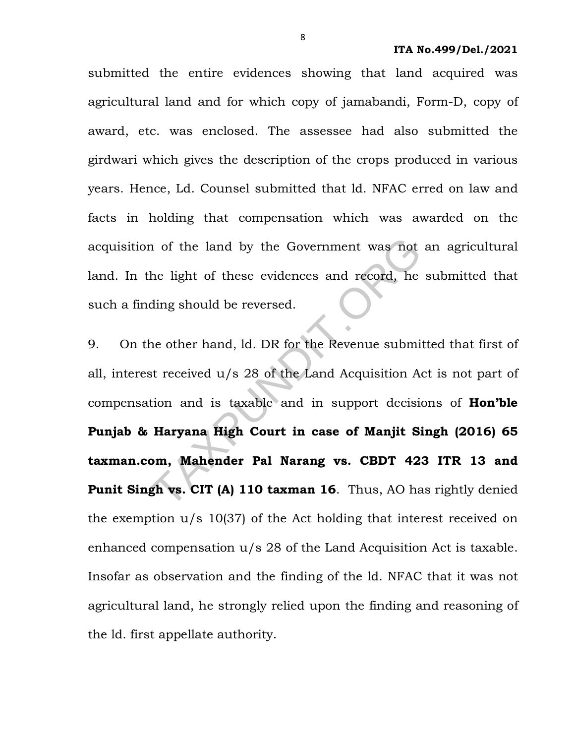submitted the entire evidences showing that land acquired was agricultural land and for which copy of jamabandi, Form-D, copy of award, etc. was enclosed. The assessee had also submitted the girdwari which gives the description of the crops produced in various years. Hence, Ld. Counsel submitted that ld. NFAC erred on law and facts in holding that compensation which was awarded on the acquisition of the land by the Government was not an agricultural land. In the light of these evidences and record, he submitted that such a finding should be reversed.

9. On the other hand, ld. DR for the Revenue submitted that first of all, interest received u/s 28 of the Land Acquisition Act is not part of compensation and is taxable and in support decisions of **Hon'ble** Punjab & Haryana High Court in case of Manjit Singh (2016) 65 taxman.com, Mahender Pal Narang vs. CBDT 423 ITR 13 and Punit Singh vs. CIT (A) 110 taxman 16. Thus, AO has rightly denied the exemption u/s 10(37) of the Act holding that interest received on enhanced compensation u/s 28 of the Land Acquisition Act is taxable. Insofar as observation and the finding of the ld. NFAC that it was not agricultural land, he strongly relied upon the finding and reasoning of the ld. first appellate authority. The land by the Government was not<br>the light of these evidences and record, he<br>ding should be reversed.<br>ne other hand, ld. DR for the Revenue submi<br>st received u/s 28 of the Land Acquisition At<br>tion and is taxable and in s

8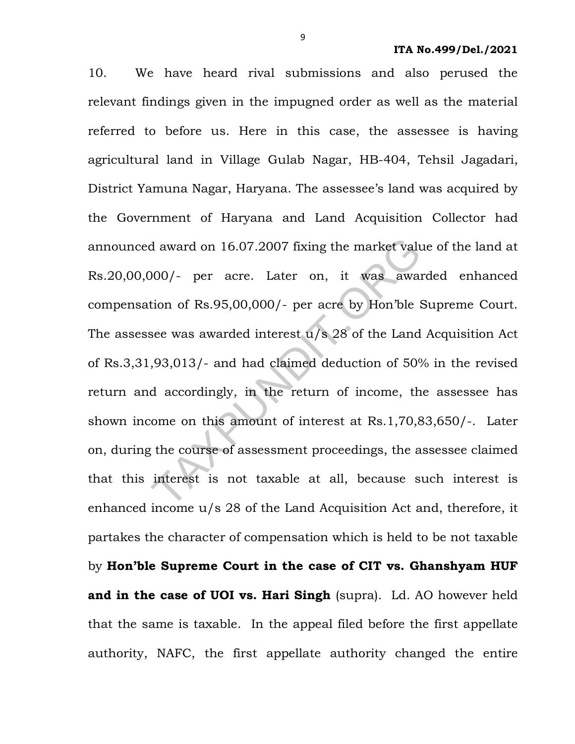10. We have heard rival submissions and also perused the relevant findings given in the impugned order as well as the material referred to before us. Here in this case, the assessee is having agricultural land in Village Gulab Nagar, HB-404, Tehsil Jagadari, District Yamuna Nagar, Haryana. The assessee's land was acquired by the Government of Haryana and Land Acquisition Collector had announced award on 16.07.2007 fixing the market value of the land at Rs.20,00,000/- per acre. Later on, it was awarded enhanced compensation of Rs.95,00,000/- per acre by Hon'ble Supreme Court. The assessee was awarded interest u/s 28 of the Land Acquisition Act of Rs.3,31,93,013/- and had claimed deduction of 50% in the revised return and accordingly, in the return of income, the assessee has shown income on this amount of interest at Rs.1,70,83,650/-. Later on, during the course of assessment proceedings, the assessee claimed that this interest is not taxable at all, because such interest is enhanced income u/s 28 of the Land Acquisition Act and, therefore, it partakes the character of compensation which is held to be not taxable by Hon'ble Supreme Court in the case of CIT vs. Ghanshyam HUF and in the case of UOI vs. Hari Singh (supra). Ld. AO however held that the same is taxable. In the appeal filed before the first appellate authority, NAFC, the first appellate authority changed the entire d award on 16.07.2007 fixing the market values<br>000/- per acre. Later on, it was away attion of Rs.95,00,000/- per acre by Hon'ble ?<br>see was awarded interest  $u/s$  28 of the Land<br>,93,013/- and had claimed deduction of 50°<br>d

9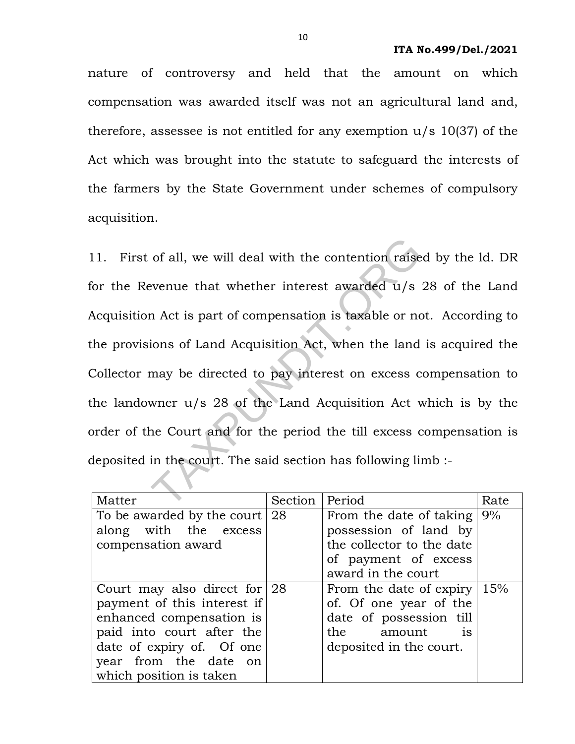nature of controversy and held that the amount on which compensation was awarded itself was not an agricultural land and, therefore, assessee is not entitled for any exemption u/s 10(37) of the Act which was brought into the statute to safeguard the interests of the farmers by the State Government under schemes of compulsory acquisition.

11. First of all, we will deal with the contention raised by the ld. DR for the Revenue that whether interest awarded u/s 28 of the Land Acquisition Act is part of compensation is taxable or not. According to the provisions of Land Acquisition Act, when the land is acquired the Collector may be directed to pay interest on excess compensation to the landowner u/s 28 of the Land Acquisition Act which is by the order of the Court and for the period the till excess compensation is deposited in the court. The said section has following limb : of all, we will deal with the contention raise<br>evenue that whether interest awarded u/s<br>n Act is part of compensation is taxable or no<br>ions of Land Acquisition Act, when the land<br>may be directed to pay interest on excess c

| Matter                          | Section | Period                         | Rate |
|---------------------------------|---------|--------------------------------|------|
| To be awarded by the court      | -28     | From the date of taking        | 9%   |
| along with the excess           |         | possession of land by          |      |
| compensation award              |         | the collector to the date      |      |
|                                 |         | of payment of excess           |      |
|                                 |         | award in the court             |      |
| Court may also direct for $ 28$ |         | From the date of expiry        | 15%  |
| payment of this interest if     |         | of. Of one year of the         |      |
| enhanced compensation is        |         | date of possession till        |      |
| paid into court after the       |         | the amount<br>$\overline{1}$ S |      |
| date of expiry of. Of one       |         | deposited in the court.        |      |
| year from the date on           |         |                                |      |
| which position is taken         |         |                                |      |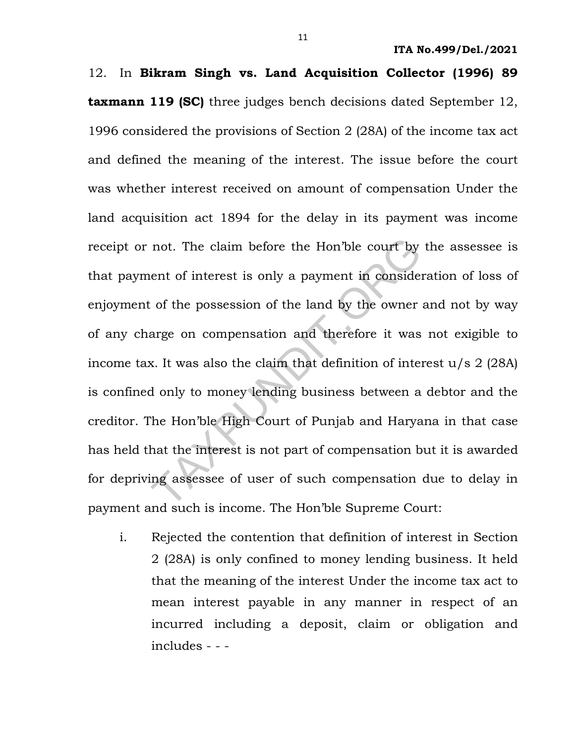12. In Bikram Singh vs. Land Acquisition Collector (1996) 89 **taxmann 119 (SC)** three judges bench decisions dated September 12, 1996 considered the provisions of Section 2 (28A) of the income tax act and defined the meaning of the interest. The issue before the court was whether interest received on amount of compensation Under the land acquisition act 1894 for the delay in its payment was income receipt or not. The claim before the Hon'ble court by the assessee is that payment of interest is only a payment in consideration of loss of enjoyment of the possession of the land by the owner and not by way of any charge on compensation and therefore it was not exigible to income tax. It was also the claim that definition of interest u/s 2 (28A) is confined only to money lending business between a debtor and the creditor. The Hon'ble High Court of Punjab and Haryana in that case has held that the interest is not part of compensation but it is awarded for depriving assessee of user of such compensation due to delay in payment and such is income. The Hon'ble Supreme Court: not. The claim before the Hon'ble court by<br>ent of interest is only a payment in conside:<br>c of the possession of the land by the owner<br>arge on compensation and therefore it was<br>x. It was also the claim that definition of in

i. Rejected the contention that definition of interest in Section 2 (28A) is only confined to money lending business. It held that the meaning of the interest Under the income tax act to mean interest payable in any manner in respect of an incurred including a deposit, claim or obligation and includes - - -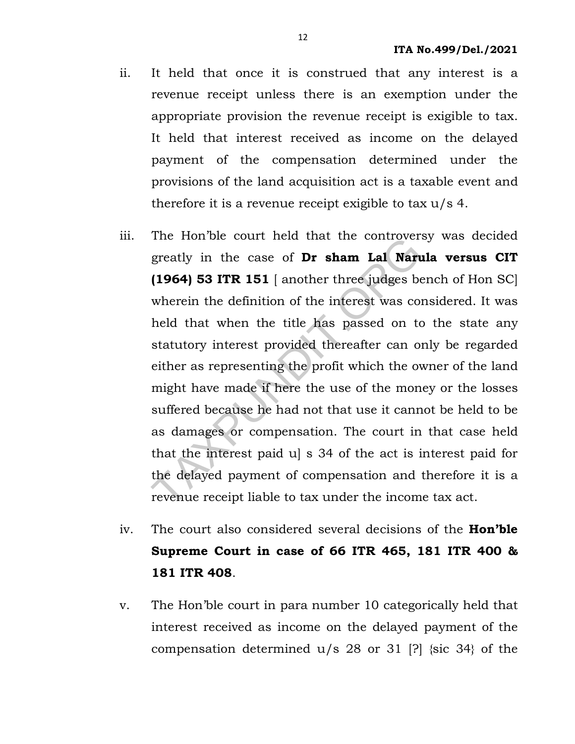- ii. It held that once it is construed that any interest is a revenue receipt unless there is an exemption under the appropriate provision the revenue receipt is exigible to tax. It held that interest received as income on the delayed payment of the compensation determined under the provisions of the land acquisition act is a taxable event and therefore it is a revenue receipt exigible to tax  $u/s$  4.
- iii. The Hon'ble court held that the controversy was decided greatly in the case of Dr sham Lal Narula versus CIT (1964) 53 ITR 151 [ another three judges bench of Hon SC] wherein the definition of the interest was considered. It was held that when the title has passed on to the state any statutory interest provided thereafter can only be regarded either as representing the profit which the owner of the land might have made if here the use of the money or the losses suffered because he had not that use it cannot be held to be as damages or compensation. The court in that case held that the interest paid u] s 34 of the act is interest paid for the delayed payment of compensation and therefore it is a revenue receipt liable to tax under the income tax act. The Hoff be court field that the controvers<br>greatly in the case of **Dr sham Lal Nart**<br>(1964) 53 ITR 151 [another three judges be<br>wherein the definition of the interest was con<br>held that when the title has passed on to<br>sta
- iv. The court also considered several decisions of the **Hon'ble** Supreme Court in case of 66 ITR 465, 181 ITR 400 & 181 ITR 408.
- v. The Hon'ble court in para number 10 categorically held that interest received as income on the delayed payment of the compensation determined u/s 28 or 31 [?] {sic 34} of the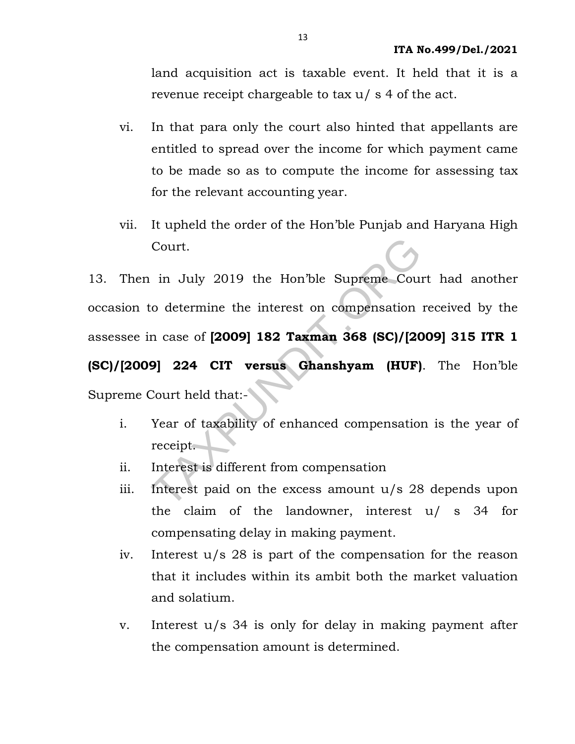land acquisition act is taxable event. It held that it is a revenue receipt chargeable to tax u/ s 4 of the act.

- vi. In that para only the court also hinted that appellants are entitled to spread over the income for which payment came to be made so as to compute the income for assessing tax for the relevant accounting year.
- vii. It upheld the order of the Hon'ble Punjab and Haryana High Court.

13. Then in July 2019 the Hon'ble Supreme Court had another occasion to determine the interest on compensation received by the assessee in case of [2009] 182 Taxman 368 (SC)/[2009] 315 ITR 1 (SC)/[2009] 224 CIT versus Ghanshyam (HUF). The Hon'ble Supreme Court held that:- Court.<br>
in July 2019 the Hon'ble Supreme Cours<br>
co determine the interest on compensation<br>
n case of **[2009] 182 Taxman 368 (SC)/[20**<br>
9] 224 CIT versus Ghanshyam (HUF)<br>
Court held that:-<br>
Year of taxability of enhanced co

- i. Year of taxability of enhanced compensation is the year of receipt.
- ii. Interest is different from compensation
- iii. Interest paid on the excess amount u/s 28 depends upon the claim of the landowner, interest u/ s 34 for compensating delay in making payment.
- iv. Interest u/s 28 is part of the compensation for the reason that it includes within its ambit both the market valuation and solatium.
- v. Interest u/s 34 is only for delay in making payment after the compensation amount is determined.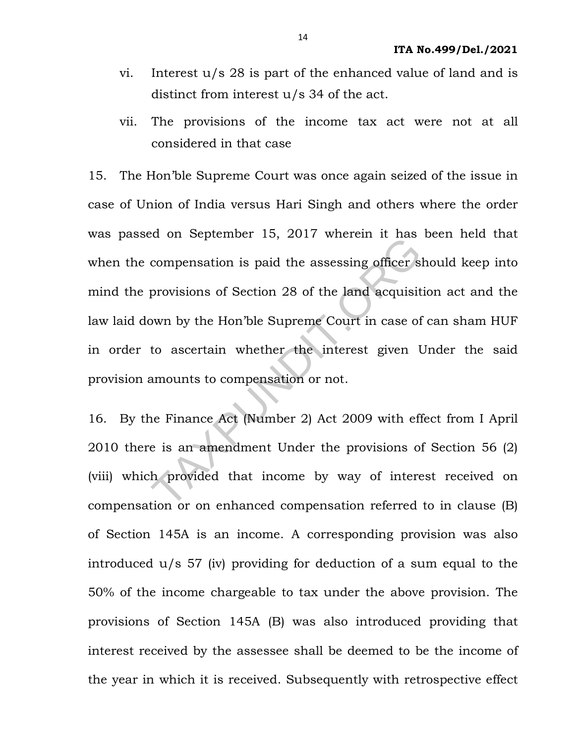- vi. Interest u/s 28 is part of the enhanced value of land and is distinct from interest u/s 34 of the act.
- vii. The provisions of the income tax act were not at all considered in that case

15. The Hon'ble Supreme Court was once again seized of the issue in case of Union of India versus Hari Singh and others where the order was passed on September 15, 2017 wherein it has been held that when the compensation is paid the assessing officer should keep into mind the provisions of Section 28 of the land acquisition act and the law laid down by the Hon'ble Supreme Court in case of can sham HUF in order to ascertain whether the interest given Under the said provision amounts to compensation or not. Examples to the Supermoter 15, 2017 wherein it has<br>compensation is paid the assessing officer si<br>provisions of Section 28 of the land acquisit<br>own by the Hon'ble Supreme Court in case of<br>to ascertain whether the interest g

16. By the Finance Act (Number 2) Act 2009 with effect from I April 2010 there is an amendment Under the provisions of Section 56 (2) (viii) which provided that income by way of interest received on compensation or on enhanced compensation referred to in clause (B) of Section 145A is an income. A corresponding provision was also introduced u/s 57 (iv) providing for deduction of a sum equal to the 50% of the income chargeable to tax under the above provision. The provisions of Section 145A (B) was also introduced providing that interest received by the assessee shall be deemed to be the income of the year in which it is received. Subsequently with retrospective effect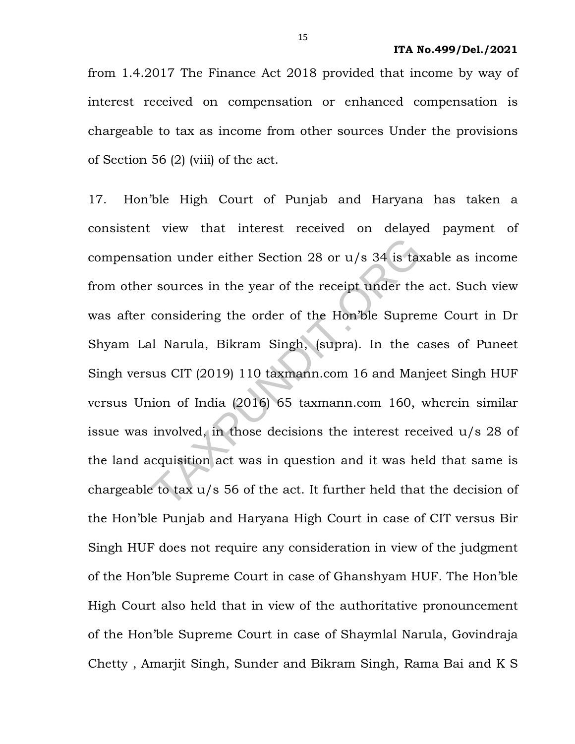from 1.4.2017 The Finance Act 2018 provided that income by way of interest received on compensation or enhanced compensation is chargeable to tax as income from other sources Under the provisions of Section 56 (2) (viii) of the act.

17. Hon'ble High Court of Punjab and Haryana has taken a consistent view that interest received on delayed payment of compensation under either Section 28 or u/s 34 is taxable as income from other sources in the year of the receipt under the act. Such view was after considering the order of the Hon'ble Supreme Court in Dr Shyam Lal Narula, Bikram Singh, (supra). In the cases of Puneet Singh versus CIT (2019) 110 taxmann.com 16 and Manjeet Singh HUF versus Union of India (2016) 65 taxmann.com 160, wherein similar issue was involved, in those decisions the interest received u/s 28 of the land acquisition act was in question and it was held that same is chargeable to tax u/s 56 of the act. It further held that the decision of the Hon'ble Punjab and Haryana High Court in case of CIT versus Bir Singh HUF does not require any consideration in view of the judgment of the Hon'ble Supreme Court in case of Ghanshyam HUF. The Hon'ble High Court also held that in view of the authoritative pronouncement of the Hon'ble Supreme Court in case of Shaymlal Narula, Govindraja Chetty , Amarjit Singh, Sunder and Bikram Singh, Rama Bai and K S tion under either Section 28 or  $u/s$  34 is taxed that considering the order of the Hon'ble Suprentian Considering the order of the Hon'ble Suprentian Narula, Bikram Singh, (supra). In the case of Treaty (2019) 110 taxmann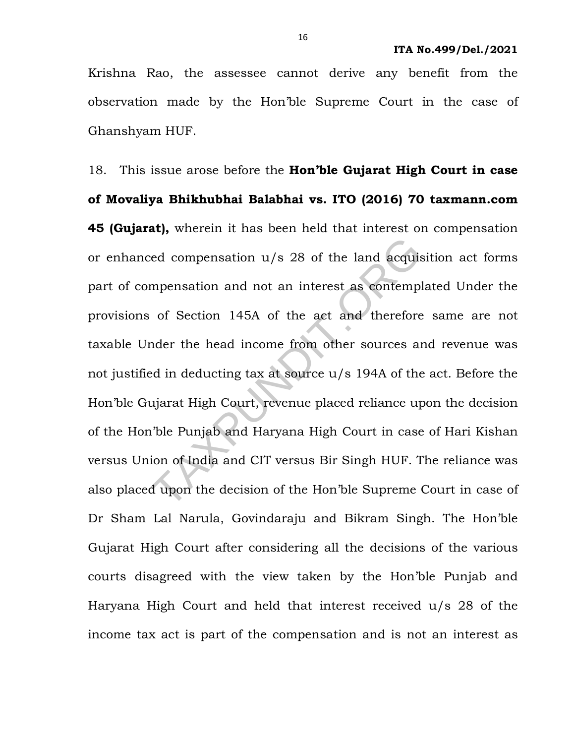Krishna Rao, the assessee cannot derive any benefit from the observation made by the Hon'ble Supreme Court in the case of Ghanshyam HUF.

18. This issue arose before the **Hon'ble Gujarat High Court in case** of Movaliya Bhikhubhai Balabhai vs. ITO (2016) 70 taxmann.com 45 (Gujarat), wherein it has been held that interest on compensation or enhanced compensation u/s 28 of the land acquisition act forms part of compensation and not an interest as contemplated Under the provisions of Section 145A of the act and therefore same are not taxable Under the head income from other sources and revenue was not justified in deducting tax at source u/s 194A of the act. Before the Hon'ble Gujarat High Court, revenue placed reliance upon the decision of the Hon'ble Punjab and Haryana High Court in case of Hari Kishan versus Union of India and CIT versus Bir Singh HUF. The reliance was also placed upon the decision of the Hon'ble Supreme Court in case of Dr Sham Lal Narula, Govindaraju and Bikram Singh. The Hon'ble Gujarat High Court after considering all the decisions of the various courts disagreed with the view taken by the Hon'ble Punjab and Haryana High Court and held that interest received u/s 28 of the income tax act is part of the compensation and is not an interest as red compensation u/s 28 of the land acquist<br>mpensation and not an interest as contempl<br>of Section 145A of the act and therefore<br>nder the head income from other sources an<br>ed in deducting tax at source u/s 194A of the<br>ujara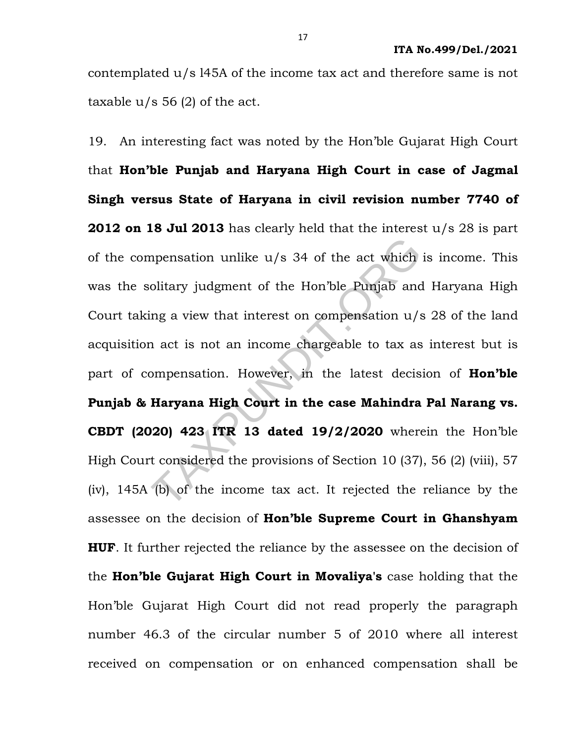contemplated u/s l45A of the income tax act and therefore same is not taxable  $u/s$  56 (2) of the act.

19. An interesting fact was noted by the Hon'ble Gujarat High Court that Hon'ble Punjab and Haryana High Court in case of Jagmal Singh versus State of Haryana in civil revision number 7740 of 2012 on 18 Jul 2013 has clearly held that the interest  $u/s$  28 is part of the compensation unlike u/s 34 of the act which is income. This was the solitary judgment of the Hon'ble Punjab and Haryana High Court taking a view that interest on compensation u/s 28 of the land acquisition act is not an income chargeable to tax as interest but is part of compensation. However, in the latest decision of **Hon'ble** Punjab & Haryana High Court in the case Mahindra Pal Narang vs. CBDT (2020) 423 ITR 13 dated 19/2/2020 wherein the Hon'ble High Court considered the provisions of Section 10 (37), 56 (2) (viii), 57 (iv), 145A (b) of the income tax act. It rejected the reliance by the assessee on the decision of Hon'ble Supreme Court in Ghanshyam **HUF.** It further rejected the reliance by the assessee on the decision of the Hon'ble Gujarat High Court in Movaliya's case holding that the Hon'ble Gujarat High Court did not read properly the paragraph number 46.3 of the circular number 5 of 2010 where all interest received on compensation or on enhanced compensation shall be mpensation unlike  $u/s$  34 of the act which<br>olitary judgment of the Hon'ble Punjab and<br>ing a view that interest on compensation  $u/s$ <br>n act is not an income chargeable to tax as<br>ompensation. However, in the latest decis<br>**Ha**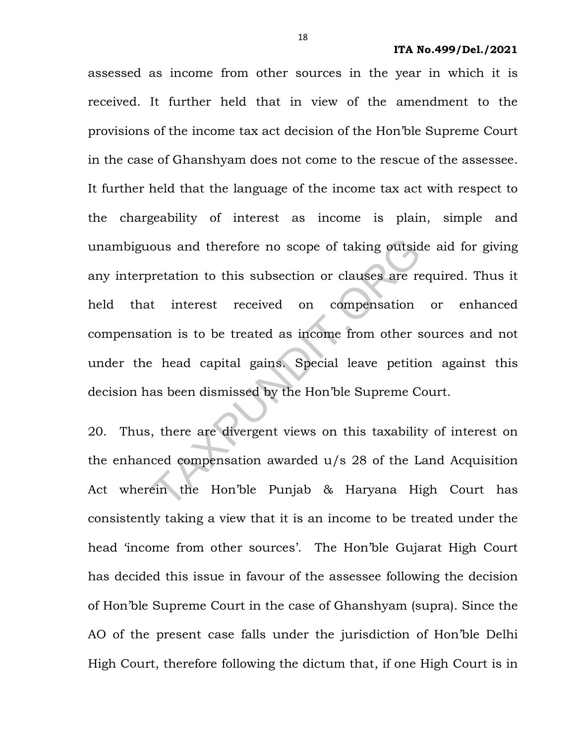assessed as income from other sources in the year in which it is received. It further held that in view of the amendment to the provisions of the income tax act decision of the Hon'ble Supreme Court in the case of Ghanshyam does not come to the rescue of the assessee. It further held that the language of the income tax act with respect to the chargeability of interest as income is plain, simple and unambiguous and therefore no scope of taking outside aid for giving any interpretation to this subsection or clauses are required. Thus it held that interest received on compensation or enhanced compensation is to be treated as income from other sources and not under the head capital gains. Special leave petition against this decision has been dismissed by the Hon'ble Supreme Court. ous and therefore no scope of taking outsident<br>or transformation to this subsection or clauses are reduction is to be treated as income from other s<br>explore the compensation is to be treated as income from other s<br>explore

20. Thus, there are divergent views on this taxability of interest on the enhanced compensation awarded u/s 28 of the Land Acquisition Act wherein the Hon'ble Punjab & Haryana High Court has consistently taking a view that it is an income to be treated under the head 'income from other sources'. The Hon'ble Gujarat High Court has decided this issue in favour of the assessee following the decision of Hon'ble Supreme Court in the case of Ghanshyam (supra). Since the AO of the present case falls under the jurisdiction of Hon'ble Delhi High Court, therefore following the dictum that, if one High Court is in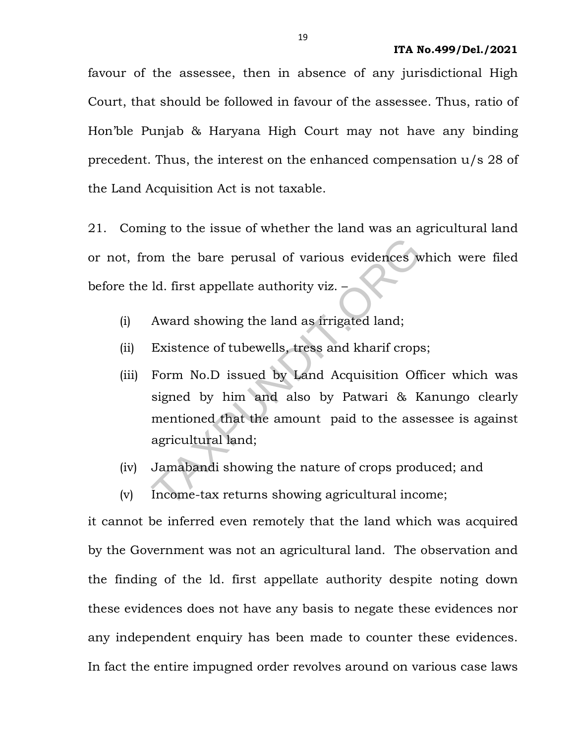favour of the assessee, then in absence of any jurisdictional High Court, that should be followed in favour of the assessee. Thus, ratio of Hon'ble Punjab & Haryana High Court may not have any binding precedent. Thus, the interest on the enhanced compensation u/s 28 of the Land Acquisition Act is not taxable.

21. Coming to the issue of whether the land was an agricultural land or not, from the bare perusal of various evidences which were filed before the ld. first appellate authority viz. –

- (i) Award showing the land as irrigated land;
- (ii) Existence of tubewells, tress and kharif crops;
- (iii) Form No.D issued by Land Acquisition Officer which was signed by him and also by Patwari & Kanungo clearly mentioned that the amount paid to the assessee is against agricultural land; om the bare perusal of various evidences w<br>
1d. first appellate authority viz. –<br>
Award showing the land as irrigated land;<br>
Existence of tubewells, tress and kharif crops<br>
Form No.D issued by Land Acquisition Off<br>
signed
- (iv) Jamabandi showing the nature of crops produced; and
- (v) Income-tax returns showing agricultural income;

it cannot be inferred even remotely that the land which was acquired by the Government was not an agricultural land. The observation and the finding of the ld. first appellate authority despite noting down these evidences does not have any basis to negate these evidences nor any independent enquiry has been made to counter these evidences. In fact the entire impugned order revolves around on various case laws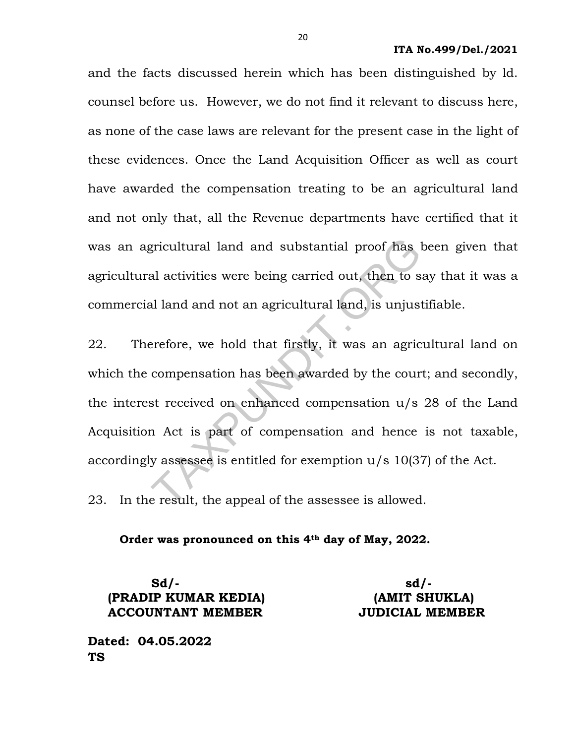and the facts discussed herein which has been distinguished by ld. counsel before us. However, we do not find it relevant to discuss here, as none of the case laws are relevant for the present case in the light of these evidences. Once the Land Acquisition Officer as well as court have awarded the compensation treating to be an agricultural land and not only that, all the Revenue departments have certified that it was an agricultural land and substantial proof has been given that agricultural activities were being carried out, then to say that it was a commercial land and not an agricultural land, is unjustifiable.

22. Therefore, we hold that firstly, it was an agricultural land on which the compensation has been awarded by the court; and secondly, the interest received on enhanced compensation u/s 28 of the Land Acquisition Act is part of compensation and hence is not taxable, accordingly assessee is entitled for exemption u/s 10(37) of the Act. gricultural land and substantial proof has lead activities were being carried out, then to s<br>al land and not an agricultural land, is unjust<br>erefore, we hold that firstly, it was an agric<br>compensation has been awarded by

23. In the result, the appeal of the assessee is allowed.

Order was pronounced on this 4th day of May, 2022.

 $Sd/-$ (PRADIP KUMAR KEDIA) (AMIT SHUKLA) ACCOUNTANT MEMBER JUDICIAL MEMBER

Dated: 04.05.2022 TS